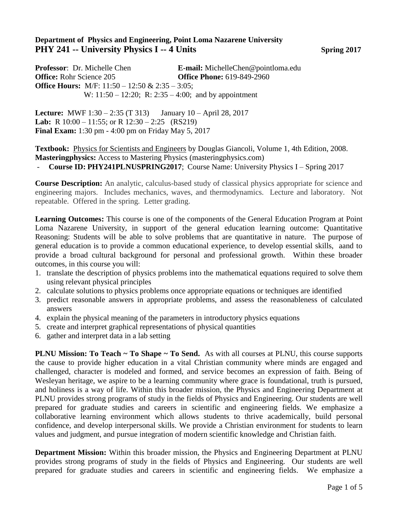## **Department of Physics and Engineering, Point Loma Nazarene University PHY 241 -- University Physics I -- 4 Units Spring 2017**

**Professor**: Dr. Michelle Chen **E-mail:** MichelleChen@pointloma.edu **Office:** Rohr Science 205 **Office Phone:** 619-849-2960 **Office Hours:** M/F: 11:50 – 12:50 & 2:35 – 3:05; W: 11:50 – 12:20; R: 2:35 – 4:00; and by appointment

**Lecture:** MWF 1:30 – 2:35 (T 313) January 10 – April 28, 2017 **Lab:** R 10:00 – 11:55; or R 12:30 – 2:25 (RS219) **Final Exam:** 1:30 pm - 4:00 pm on Friday May 5, 2017

**Textbook:** Physics for Scientists and Engineers by Douglas Giancoli, Volume 1, 4th Edition, 2008. **Masteringphysics:** Access to Mastering Physics (masteringphysics.com)

- **Course ID: PHY241PLNUSPRING2017**; Course Name: University Physics I – Spring 2017

**Course Description:** An analytic, calculus-based study of classical physics appropriate for science and engineering majors. Includes mechanics, waves, and thermodynamics. Lecture and laboratory. Not repeatable. Offered in the spring. Letter grading.

**Learning Outcomes:** This course is one of the components of the General Education Program at Point Loma Nazarene University, in support of the general education learning outcome: Quantitative Reasoning: Students will be able to solve problems that are quantitative in nature. The purpose of general education is to provide a common educational experience, to develop essential skills, aand to provide a broad cultural background for personal and professional growth. Within these broader outcomes, in this course you will:

- 1. translate the description of physics problems into the mathematical equations required to solve them using relevant physical principles
- 2. calculate solutions to physics problems once appropriate equations or techniques are identified
- 3. predict reasonable answers in appropriate problems, and assess the reasonableness of calculated answers
- 4. explain the physical meaning of the parameters in introductory physics equations
- 5. create and interpret graphical representations of physical quantities
- 6. gather and interpret data in a lab setting

**PLNU Mission: To Teach ~ To Shape ~ To Send.** As with all courses at PLNU, this course supports the cause to provide higher education in a vital Christian community where minds are engaged and challenged, character is modeled and formed, and service becomes an expression of faith. Being of Wesleyan heritage, we aspire to be a learning community where grace is foundational, truth is pursued, and holiness is a way of life. Within this broader mission, the Physics and Engineering Department at PLNU provides strong programs of study in the fields of Physics and Engineering. Our students are well prepared for graduate studies and careers in scientific and engineering fields. We emphasize a collaborative learning environment which allows students to thrive academically, build personal confidence, and develop interpersonal skills. We provide a Christian environment for students to learn values and judgment, and pursue integration of modern scientific knowledge and Christian faith.

**Department Mission:** Within this broader mission, the Physics and Engineering Department at PLNU provides strong programs of study in the fields of Physics and Engineering. Our students are well prepared for graduate studies and careers in scientific and engineering fields. We emphasize a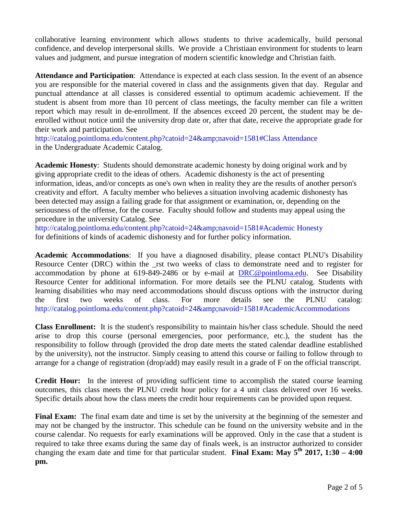collaborative learning environment which allows students to thrive academically, build personal confidence, and develop interpersonal skills. We provide a Christiaan environment for students to learn values and judgment, and pursue integration of modern scientific knowledge and Christian faith.

**Attendance and Participation**: Attendance is expected at each class session. In the event of an absence you are responsible for the material covered in class and the assignments given that day. Regular and punctual attendance at all classes is considered essential to optimum academic achievement. If the student is absent from more than 10 percent of class meetings, the faculty member can file a written report which may result in de-enrollment. If the absences exceed 20 percent, the student may be deenrolled without notice until the university drop date or, after that date, receive the appropriate grade for their work and participation. See

http://catalog.pointloma.edu/content.php?catoid=24&navoid=1581#Class Attendance in the Undergraduate Academic Catalog.

**Academic Honesty**: Students should demonstrate academic honesty by doing original work and by giving appropriate credit to the ideas of others. Academic dishonesty is the act of presenting information, ideas, and/or concepts as one's own when in reality they are the results of another person's creativity and effort. A faculty member who believes a situation involving academic dishonesty has been detected may assign a failing grade for that assignment or examination, or, depending on the seriousness of the offense, for the course. Faculty should follow and students may appeal using the procedure in the university Catalog. See

http://catalog.pointloma.edu/content.php?catoid=24&navoid=1581#Academic Honesty for definitions of kinds of academic dishonesty and for further policy information.

**Academic Accommodations**: If you have a diagnosed disability, please contact PLNU's Disability Resource Center (DRC) within the \_rst two weeks of class to demonstrate need and to register for accommodation by phone at 619-849-2486 or by e-mail at [DRC@pointloma.edu.](mailto:DRC@pointloma.edu) See Disability Resource Center for additional information. For more details see the PLNU catalog. Students with learning disabilities who may need accommodations should discuss options with the instructor during the first two weeks of class. For more details see the PLNU catalog: http://catalog.pointloma.edu/content.php?catoid=24&amp:navoid=1581#AcademicAccommodations

**Class Enrollment:** It is the student's responsibility to maintain his/her class schedule. Should the need arise to drop this course (personal emergencies, poor performance, etc.), the student has the responsibility to follow through (provided the drop date meets the stated calendar deadline established by the university), not the instructor. Simply ceasing to attend this course or failing to follow through to arrange for a change of registration (drop/add) may easily result in a grade of F on the official transcript.

**Credit Hour:** In the interest of providing sufficient time to accomplish the stated course learning outcomes, this class meets the PLNU credit hour policy for a 4 unit class delivered over 16 weeks. Specific details about how the class meets the credit hour requirements can be provided upon request.

**Final Exam:** The final exam date and time is set by the university at the beginning of the semester and may not be changed by the instructor. This schedule can be found on the university website and in the course calendar. No requests for early examinations will be approved. Only in the case that a student is required to take three exams during the same day of finals week, is an instructor authorized to consider changing the exam date and time for that particular student. **Final Exam: May 5th 2017, 1:30 – 4:00 pm.**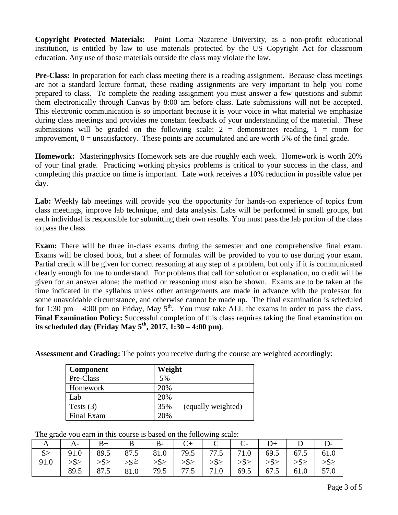**Copyright Protected Materials:** Point Loma Nazarene University, as a non-profit educational institution, is entitled by law to use materials protected by the US Copyright Act for classroom education. Any use of those materials outside the class may violate the law.

**Pre-Class:** In preparation for each class meeting there is a reading assignment. Because class meetings are not a standard lecture format, these reading assignments are very important to help you come prepared to class. To complete the reading assignment you must answer a few questions and submit them electronically through Canvas by 8:00 am before class. Late submissions will not be accepted. This electronic communication is so important because it is your voice in what material we emphasize during class meetings and provides me constant feedback of your understanding of the material. These submissions will be graded on the following scale:  $2 =$  demonstrates reading,  $1 =$  room for improvement,  $0 =$  unsatisfactory. These points are accumulated and are worth 5% of the final grade.

**Homework:** Masteringphysics Homework sets are due roughly each week. Homework is worth 20% of your final grade. Practicing working physics problems is critical to your success in the class, and completing this practice on time is important. Late work receives a 10% reduction in possible value per day.

Lab: Weekly lab meetings will provide you the opportunity for hands-on experience of topics from class meetings, improve lab technique, and data analysis. Labs will be performed in small groups, but each individual is responsible for submitting their own results. You must pass the lab portion of the class to pass the class.

**Exam:** There will be three in-class exams during the semester and one comprehensive final exam. Exams will be closed book, but a sheet of formulas will be provided to you to use during your exam. Partial credit will be given for correct reasoning at any step of a problem, but only if it is communicated clearly enough for me to understand. For problems that call for solution or explanation, no credit will be given for an answer alone; the method or reasoning must also be shown. Exams are to be taken at the time indicated in the syllabus unless other arrangements are made in advance with the professor for some unavoidable circumstance, and otherwise cannot be made up. The final examination is scheduled for 1:30 pm  $-$  4:00 pm on Friday, May  $5<sup>th</sup>$ . You must take ALL the exams in order to pass the class. **Final Examination Policy:** Successful completion of this class requires taking the final examination **on its scheduled day (Friday May 5 th, 2017, 1:30 – 4:00 pm)**.

**Assessment and Grading:** The points you receive during the course are weighted accordingly:

| Component   | Weight                    |
|-------------|---------------------------|
| Pre-Class   | 5%                        |
| Homework    | 20%                       |
| Lab         | 20%                       |
| Tests $(3)$ | 35%<br>(equally weighted) |
| Final Exam  | 20%                       |

The grade you earn in this course is based on the following scale:

|         | $A-$                                                                                                                                                                                                                                                                                                                                                                                                                                                                                                                                                                            | $B+$   B   B   C +   C   C   D +   D   D - |  |                    |  |                      |  |
|---------|---------------------------------------------------------------------------------------------------------------------------------------------------------------------------------------------------------------------------------------------------------------------------------------------------------------------------------------------------------------------------------------------------------------------------------------------------------------------------------------------------------------------------------------------------------------------------------|--------------------------------------------|--|--------------------|--|----------------------|--|
| $S_{-}$ | 91.0   89.5   87.5   81.0   79.5   77.5   71.0   69.5   67.5   61.0                                                                                                                                                                                                                                                                                                                                                                                                                                                                                                             |                                            |  |                    |  |                      |  |
|         | $\left  \right  \rightarrow \mathbb{S} \geq \left  \right  \rightarrow \mathbb{S} \geq \left  \right  \rightarrow \mathbb{S} \geq \left  \right  \rightarrow \mathbb{S} \geq \left  \right  \rightarrow \mathbb{S} \geq \left  \right  \rightarrow \mathbb{S} \geq \left  \right  \rightarrow \mathbb{S} \geq \left  \right  \rightarrow \mathbb{S} \geq \left  \right  \rightarrow \mathbb{S} \geq \left  \right  \rightarrow \mathbb{S} \geq \left  \right  \rightarrow \mathbb{S} \geq \left  \right  \rightarrow \mathbb{S} \geq \left  \right  \rightarrow \mathbb{S} \ge$ |                                            |  |                    |  |                      |  |
|         |                                                                                                                                                                                                                                                                                                                                                                                                                                                                                                                                                                                 | 87.5   81.0   79.5                         |  | 77.5   71.0   69.5 |  | $67.5$   61.0   57.0 |  |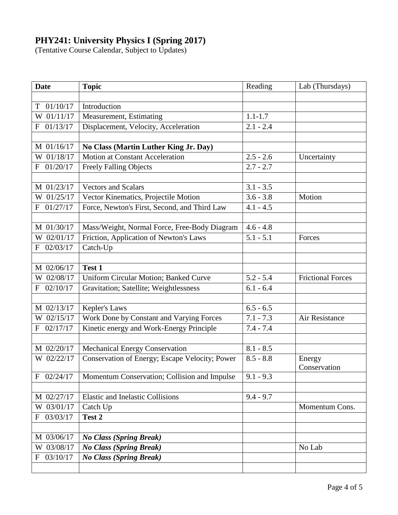## **PHY241: University Physics I (Spring 2017)**

(Tentative Course Calendar, Subject to Updates)

| <b>Date</b>   | <b>Topic</b>                                   | Reading     | Lab (Thursdays)          |  |
|---------------|------------------------------------------------|-------------|--------------------------|--|
|               |                                                |             |                          |  |
| 01/10/17<br>T | Introduction                                   |             |                          |  |
| W 01/11/17    | Measurement, Estimating                        | $1.1 - 1.7$ |                          |  |
| 01/13/17<br>F | Displacement, Velocity, Acceleration           | $2.1 - 2.4$ |                          |  |
|               |                                                |             |                          |  |
| $M$ 01/16/17  | No Class (Martin Luther King Jr. Day)          |             |                          |  |
| W 01/18/17    | <b>Motion at Constant Acceleration</b>         | $2.5 - 2.6$ | Uncertainty              |  |
| F 01/20/17    | <b>Freely Falling Objects</b>                  | $2.7 - 2.7$ |                          |  |
|               |                                                |             |                          |  |
| M 01/23/17    | <b>Vectors and Scalars</b>                     | $3.1 - 3.5$ |                          |  |
| W 01/25/17    | Vector Kinematics, Projectile Motion           | $3.6 - 3.8$ | Motion                   |  |
| 01/27/17<br>F | Force, Newton's First, Second, and Third Law   | $4.1 - 4.5$ |                          |  |
|               |                                                |             |                          |  |
| M 01/30/17    | Mass/Weight, Normal Force, Free-Body Diagram   | $4.6 - 4.8$ |                          |  |
| W 02/01/17    | Friction, Application of Newton's Laws         | $5.1 - 5.1$ | Forces                   |  |
| F 02/03/17    | Catch-Up                                       |             |                          |  |
|               |                                                |             |                          |  |
| M 02/06/17    | Test 1                                         |             |                          |  |
| W 02/08/17    | <b>Uniform Circular Motion; Banked Curve</b>   | $5.2 - 5.4$ | <b>Frictional Forces</b> |  |
| 02/10/17<br>F | Gravitation; Satellite; Weightlessness         | $6.1 - 6.4$ |                          |  |
|               |                                                |             |                          |  |
| M 02/13/17    | Kepler's Laws                                  | $6.5 - 6.5$ |                          |  |
| W 02/15/17    | Work Done by Constant and Varying Forces       | $7.1 - 7.3$ | Air Resistance           |  |
| 02/17/17<br>F | Kinetic energy and Work-Energy Principle       | $7.4 - 7.4$ |                          |  |
|               |                                                |             |                          |  |
| M 02/20/17    | Mechanical Energy Conservation                 | $8.1 - 8.5$ |                          |  |
| W 02/22/17    | Conservation of Energy; Escape Velocity; Power | $8.5 - 8.8$ | Energy                   |  |
| 02/24/17<br>F | Momentum Conservation; Collision and Impulse   | $9.1 - 9.3$ | Conservation             |  |
|               |                                                |             |                          |  |
| M 02/27/17    | <b>Elastic and Inelastic Collisions</b>        | $9.4 - 9.7$ |                          |  |
| W 03/01/17    | Catch Up                                       |             | Momentum Cons.           |  |
| 03/03/17<br>F | Test 2                                         |             |                          |  |
|               |                                                |             |                          |  |
| M 03/06/17    | <b>No Class (Spring Break)</b>                 |             |                          |  |
| W 03/08/17    | <b>No Class (Spring Break)</b>                 |             | No Lab                   |  |
| 03/10/17<br>F | <b>No Class (Spring Break)</b>                 |             |                          |  |
|               |                                                |             |                          |  |